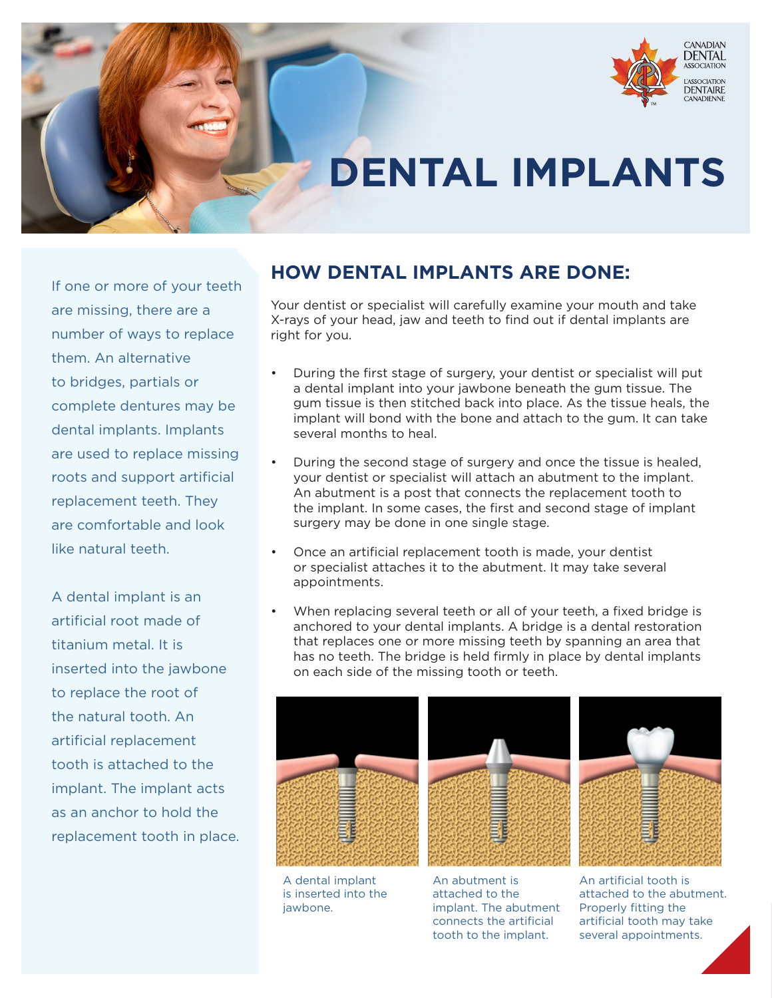

## **DENTAL IMPLANTS**

If one or more of your teeth are missing, there are a number of ways to replace them. An alternative to bridges, partials or complete dentures may be dental implants. Implants are used to replace missing roots and support artificial replacement teeth. They are comfortable and look like natural teeth.

A dental implant is an artificial root made of titanium metal. It is inserted into the jawbone to replace the root of the natural tooth. An artificial replacement tooth is attached to the implant. The implant acts as an anchor to hold the replacement tooth in place.

## **HOW DENTAL IMPLANTS ARE DONE:**

Your dentist or specialist will carefully examine your mouth and take X-rays of your head, jaw and teeth to find out if dental implants are right for you.

- During the first stage of surgery, your dentist or specialist will put a dental implant into your jawbone beneath the gum tissue. The gum tissue is then stitched back into place. As the tissue heals, the implant will bond with the bone and attach to the gum. It can take several months to heal.
- During the second stage of surgery and once the tissue is healed, your dentist or specialist will attach an abutment to the implant. An abutment is a post that connects the replacement tooth to the implant. In some cases, the first and second stage of implant surgery may be done in one single stage.
- Once an artificial replacement tooth is made, your dentist or specialist attaches it to the abutment. It may take several appointments.
- When replacing several teeth or all of your teeth, a fixed bridge is anchored to your dental implants. A bridge is a dental restoration that replaces one or more missing teeth by spanning an area that has no teeth. The bridge is held firmly in place by dental implants on each side of the missing tooth or teeth.







A dental implant is inserted into the jawbone.

An abutment is attached to the implant. The abutment connects the artificial tooth to the implant.

An artificial tooth is attached to the abutment. Properly fitting the artificial tooth may take several appointments.